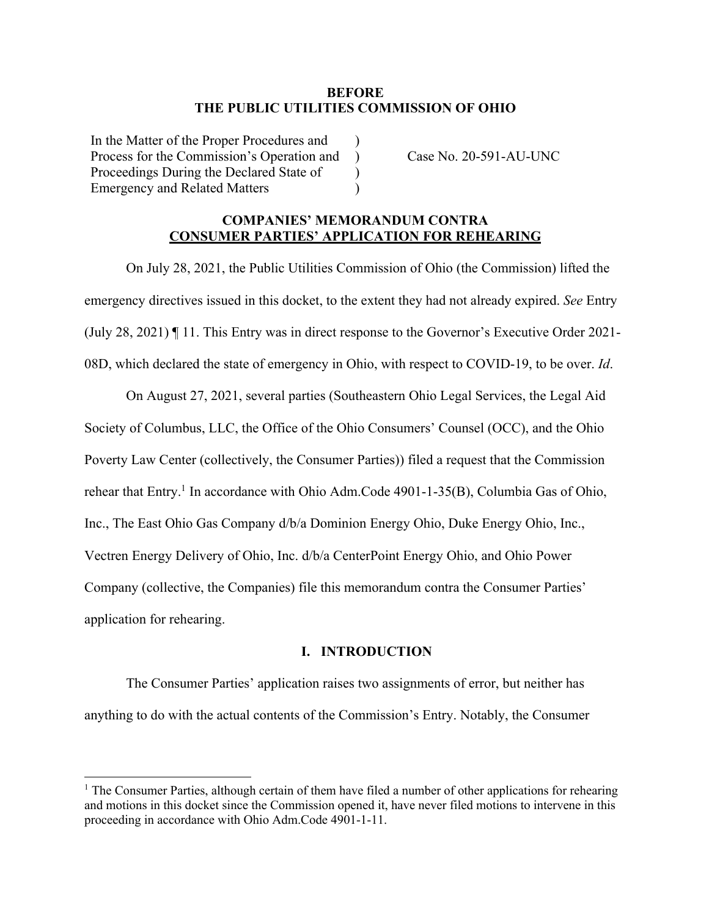#### **BEFORE THE PUBLIC UTILITIES COMMISSION OF OHIO**

)  $\lambda$ )  $\lambda$ 

In the Matter of the Proper Procedures and Process for the Commission's Operation and Proceedings During the Declared State of Emergency and Related Matters

Case No. 20-591-AU-UNC

### **COMPANIES' MEMORANDUM CONTRA CONSUMER PARTIES' APPLICATION FOR REHEARING**

On July 28, 2021, the Public Utilities Commission of Ohio (the Commission) lifted the emergency directives issued in this docket, to the extent they had not already expired. *See* Entry (July 28, 2021) ¶ 11. This Entry was in direct response to the Governor's Executive Order 2021- 08D, which declared the state of emergency in Ohio, with respect to COVID-19, to be over. *Id*.

On August 27, 2021, several parties (Southeastern Ohio Legal Services, the Legal Aid Society of Columbus, LLC, the Office of the Ohio Consumers' Counsel (OCC), and the Ohio Poverty Law Center (collectively, the Consumer Parties)) filed a request that the Commission rehear that Entry.<sup>1</sup> In accordance with Ohio Adm.Code 4901-1-35(B), Columbia Gas of Ohio, Inc., The East Ohio Gas Company d/b/a Dominion Energy Ohio, Duke Energy Ohio, Inc., Vectren Energy Delivery of Ohio, Inc. d/b/a CenterPoint Energy Ohio, and Ohio Power Company (collective, the Companies) file this memorandum contra the Consumer Parties' application for rehearing.

#### **I. INTRODUCTION**

The Consumer Parties' application raises two assignments of error, but neither has anything to do with the actual contents of the Commission's Entry. Notably, the Consumer

 $1$  The Consumer Parties, although certain of them have filed a number of other applications for rehearing and motions in this docket since the Commission opened it, have never filed motions to intervene in this proceeding in accordance with Ohio Adm.Code 4901-1-11.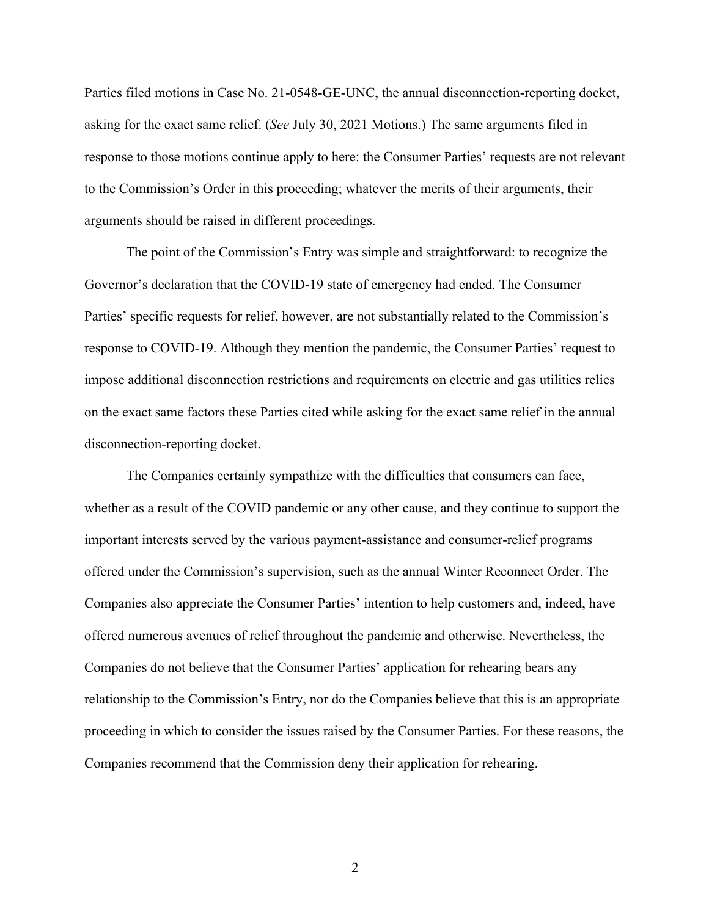Parties filed motions in Case No. 21-0548-GE-UNC, the annual disconnection-reporting docket, asking for the exact same relief. (*See* July 30, 2021 Motions.) The same arguments filed in response to those motions continue apply to here: the Consumer Parties' requests are not relevant to the Commission's Order in this proceeding; whatever the merits of their arguments, their arguments should be raised in different proceedings.

The point of the Commission's Entry was simple and straightforward: to recognize the Governor's declaration that the COVID-19 state of emergency had ended. The Consumer Parties' specific requests for relief, however, are not substantially related to the Commission's response to COVID-19. Although they mention the pandemic, the Consumer Parties' request to impose additional disconnection restrictions and requirements on electric and gas utilities relies on the exact same factors these Parties cited while asking for the exact same relief in the annual disconnection-reporting docket.

The Companies certainly sympathize with the difficulties that consumers can face, whether as a result of the COVID pandemic or any other cause, and they continue to support the important interests served by the various payment-assistance and consumer-relief programs offered under the Commission's supervision, such as the annual Winter Reconnect Order. The Companies also appreciate the Consumer Parties' intention to help customers and, indeed, have offered numerous avenues of relief throughout the pandemic and otherwise. Nevertheless, the Companies do not believe that the Consumer Parties' application for rehearing bears any relationship to the Commission's Entry, nor do the Companies believe that this is an appropriate proceeding in which to consider the issues raised by the Consumer Parties. For these reasons, the Companies recommend that the Commission deny their application for rehearing.

2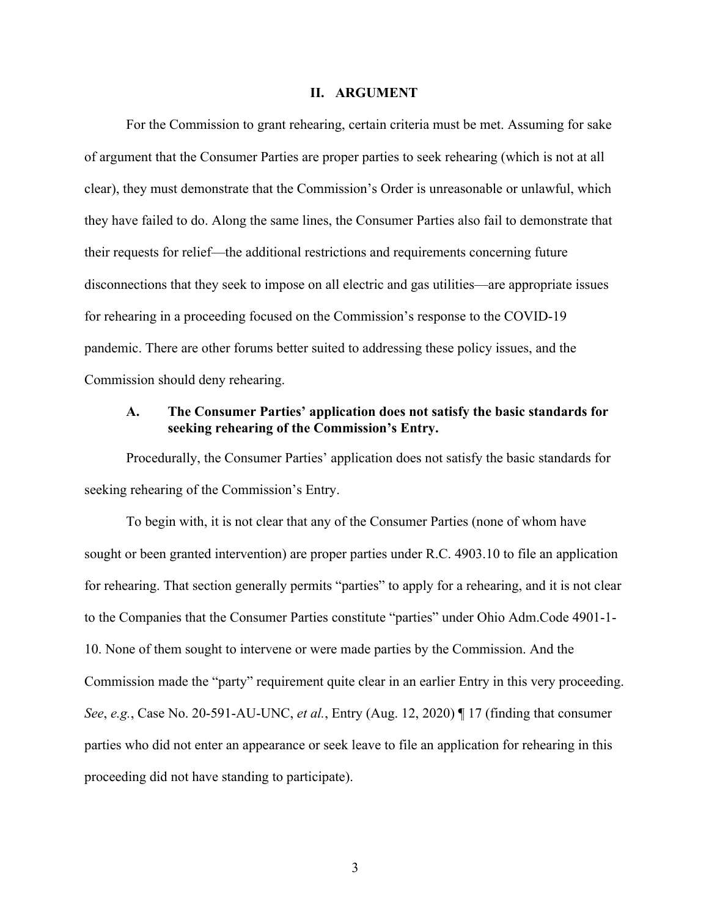#### **II. ARGUMENT**

For the Commission to grant rehearing, certain criteria must be met. Assuming for sake of argument that the Consumer Parties are proper parties to seek rehearing (which is not at all clear), they must demonstrate that the Commission's Order is unreasonable or unlawful, which they have failed to do. Along the same lines, the Consumer Parties also fail to demonstrate that their requests for relief—the additional restrictions and requirements concerning future disconnections that they seek to impose on all electric and gas utilities—are appropriate issues for rehearing in a proceeding focused on the Commission's response to the COVID-19 pandemic. There are other forums better suited to addressing these policy issues, and the Commission should deny rehearing.

## **A. The Consumer Parties' application does not satisfy the basic standards for seeking rehearing of the Commission's Entry.**

Procedurally, the Consumer Parties' application does not satisfy the basic standards for seeking rehearing of the Commission's Entry.

To begin with, it is not clear that any of the Consumer Parties (none of whom have sought or been granted intervention) are proper parties under R.C. 4903.10 to file an application for rehearing. That section generally permits "parties" to apply for a rehearing, and it is not clear to the Companies that the Consumer Parties constitute "parties" under Ohio Adm.Code 4901-1- 10. None of them sought to intervene or were made parties by the Commission. And the Commission made the "party" requirement quite clear in an earlier Entry in this very proceeding. *See*, *e.g.*, Case No. 20-591-AU-UNC, *et al.*, Entry (Aug. 12, 2020) ¶ 17 (finding that consumer parties who did not enter an appearance or seek leave to file an application for rehearing in this proceeding did not have standing to participate).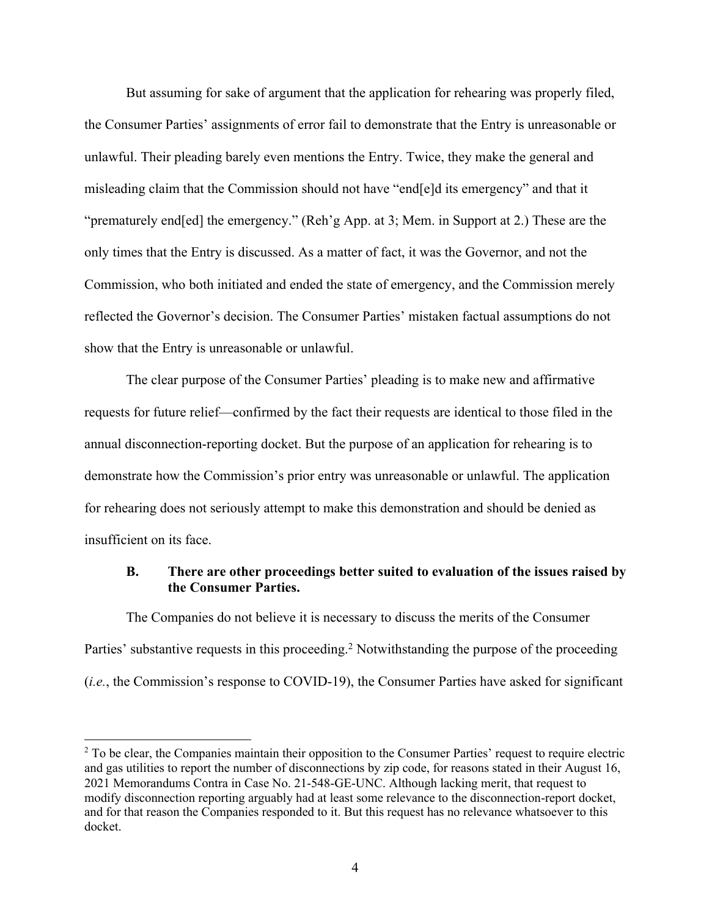But assuming for sake of argument that the application for rehearing was properly filed, the Consumer Parties' assignments of error fail to demonstrate that the Entry is unreasonable or unlawful. Their pleading barely even mentions the Entry. Twice, they make the general and misleading claim that the Commission should not have "end[e]d its emergency" and that it "prematurely end[ed] the emergency." (Reh'g App. at 3; Mem. in Support at 2.) These are the only times that the Entry is discussed. As a matter of fact, it was the Governor, and not the Commission, who both initiated and ended the state of emergency, and the Commission merely reflected the Governor's decision. The Consumer Parties' mistaken factual assumptions do not show that the Entry is unreasonable or unlawful.

The clear purpose of the Consumer Parties' pleading is to make new and affirmative requests for future relief—confirmed by the fact their requests are identical to those filed in the annual disconnection-reporting docket. But the purpose of an application for rehearing is to demonstrate how the Commission's prior entry was unreasonable or unlawful. The application for rehearing does not seriously attempt to make this demonstration and should be denied as insufficient on its face.

## **B. There are other proceedings better suited to evaluation of the issues raised by the Consumer Parties.**

The Companies do not believe it is necessary to discuss the merits of the Consumer Parties' substantive requests in this proceeding.<sup>2</sup> Notwithstanding the purpose of the proceeding (*i.e.*, the Commission's response to COVID-19), the Consumer Parties have asked for significant

<sup>&</sup>lt;sup>2</sup> To be clear, the Companies maintain their opposition to the Consumer Parties' request to require electric and gas utilities to report the number of disconnections by zip code, for reasons stated in their August 16, 2021 Memorandums Contra in Case No. 21-548-GE-UNC. Although lacking merit, that request to modify disconnection reporting arguably had at least some relevance to the disconnection-report docket, and for that reason the Companies responded to it. But this request has no relevance whatsoever to this docket.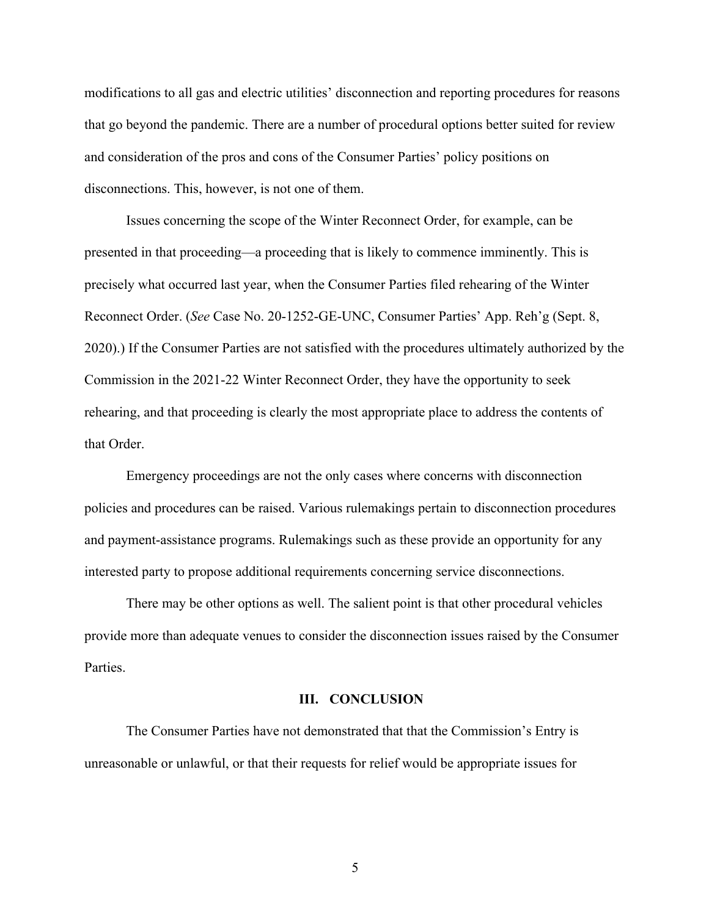modifications to all gas and electric utilities' disconnection and reporting procedures for reasons that go beyond the pandemic. There are a number of procedural options better suited for review and consideration of the pros and cons of the Consumer Parties' policy positions on disconnections. This, however, is not one of them.

Issues concerning the scope of the Winter Reconnect Order, for example, can be presented in that proceeding—a proceeding that is likely to commence imminently. This is precisely what occurred last year, when the Consumer Parties filed rehearing of the Winter Reconnect Order. (*See* Case No. 20-1252-GE-UNC, Consumer Parties' App. Reh'g (Sept. 8, 2020).) If the Consumer Parties are not satisfied with the procedures ultimately authorized by the Commission in the 2021-22 Winter Reconnect Order, they have the opportunity to seek rehearing, and that proceeding is clearly the most appropriate place to address the contents of that Order.

Emergency proceedings are not the only cases where concerns with disconnection policies and procedures can be raised. Various rulemakings pertain to disconnection procedures and payment-assistance programs. Rulemakings such as these provide an opportunity for any interested party to propose additional requirements concerning service disconnections.

There may be other options as well. The salient point is that other procedural vehicles provide more than adequate venues to consider the disconnection issues raised by the Consumer Parties.

#### **III. CONCLUSION**

The Consumer Parties have not demonstrated that that the Commission's Entry is unreasonable or unlawful, or that their requests for relief would be appropriate issues for

5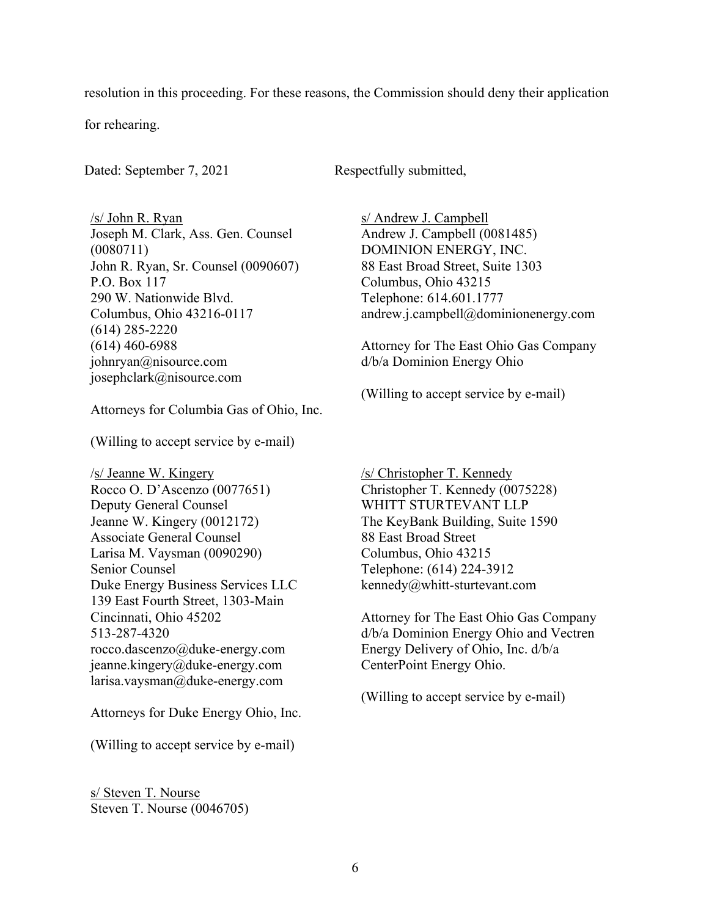resolution in this proceeding. For these reasons, the Commission should deny their application

for rehearing.

Dated: September 7, 2021 Respectfully submitted,

/s/ John R. Ryan Joseph M. Clark, Ass. Gen. Counsel (0080711) John R. Ryan, Sr. Counsel (0090607) P.O. Box 117 290 W. Nationwide Blvd. Columbus, Ohio 43216-0117 (614) 285-2220 (614) 460-6988 johnryan@nisource.com josephclark@nisource.com

Attorneys for Columbia Gas of Ohio, Inc.

(Willing to accept service by e-mail)

/s/ Jeanne W. Kingery Rocco O. D'Ascenzo (0077651) Deputy General Counsel Jeanne W. Kingery (0012172) Associate General Counsel Larisa M. Vaysman (0090290) Senior Counsel Duke Energy Business Services LLC 139 East Fourth Street, 1303-Main Cincinnati, Ohio 45202 513-287-4320 rocco.dascenzo@duke-energy.com jeanne.kingery@duke-energy.com larisa.vaysman@duke-energy.com

Attorneys for Duke Energy Ohio, Inc.

(Willing to accept service by e-mail)

s/ Steven T. Nourse Steven T. Nourse (0046705) s/ Andrew J. Campbell Andrew J. Campbell (0081485) DOMINION ENERGY, INC. 88 East Broad Street, Suite 1303 Columbus, Ohio 43215 Telephone: 614.601.1777 andrew.j.campbell@dominionenergy.com

Attorney for The East Ohio Gas Company d/b/a Dominion Energy Ohio

(Willing to accept service by e-mail)

/s/ Christopher T. Kennedy Christopher T. Kennedy (0075228) WHITT STURTEVANT LLP The KeyBank Building, Suite 1590 88 East Broad Street Columbus, Ohio 43215 Telephone: (614) 224-3912 kennedy@whitt-sturtevant.com

Attorney for The East Ohio Gas Company d/b/a Dominion Energy Ohio and Vectren Energy Delivery of Ohio, Inc. d/b/a CenterPoint Energy Ohio.

(Willing to accept service by e-mail)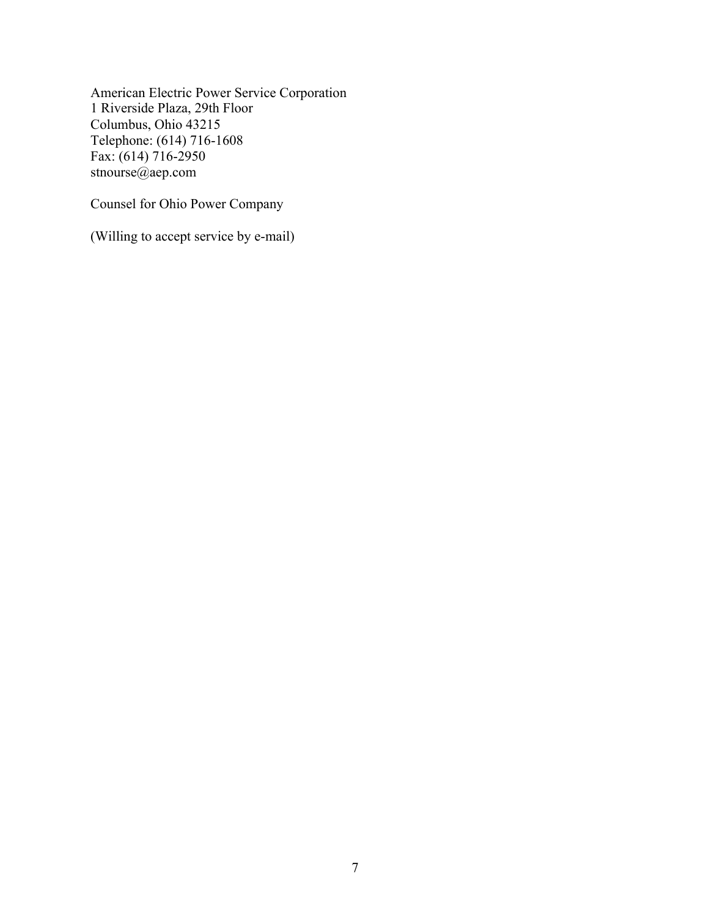American Electric Power Service Corporation 1 Riverside Plaza, 29th Floor Columbus, Ohio 43215 Telephone: (614) 716-1608 Fax: (614) 716-2950 stnourse@aep.com

Counsel for Ohio Power Company

(Willing to accept service by e-mail)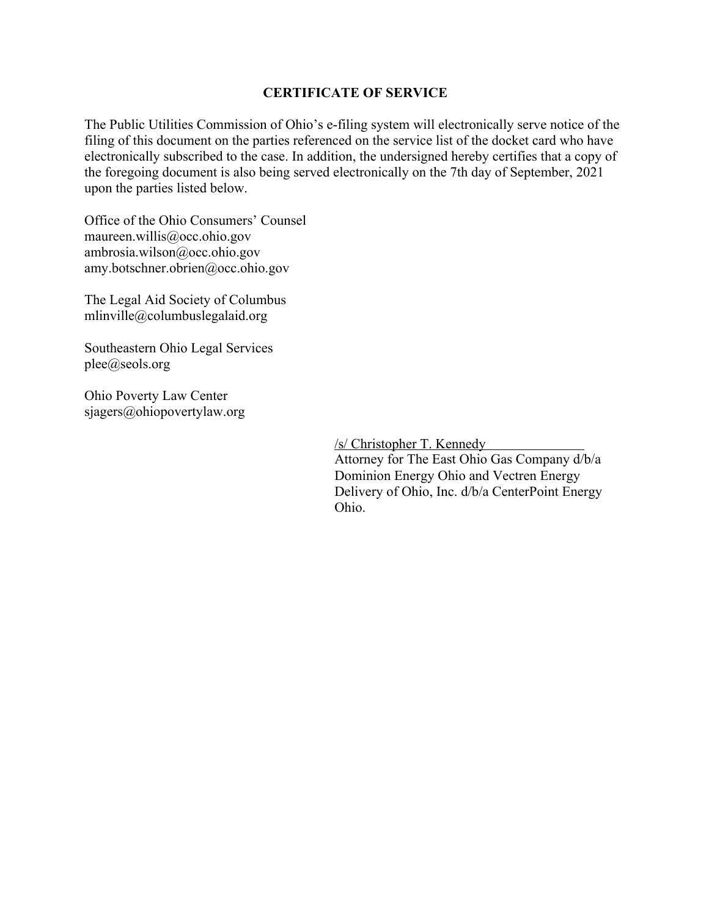# **CERTIFICATE OF SERVICE**

The Public Utilities Commission of Ohio's e-filing system will electronically serve notice of the filing of this document on the parties referenced on the service list of the docket card who have electronically subscribed to the case. In addition, the undersigned hereby certifies that a copy of the foregoing document is also being served electronically on the 7th day of September, 2021 upon the parties listed below.

Office of the Ohio Consumers' Counsel maureen.willis@occ.ohio.gov ambrosia.wilson@occ.ohio.gov amy.botschner.obrien@occ.ohio.gov

The Legal Aid Society of Columbus mlinville@columbuslegalaid.org

Southeastern Ohio Legal Services plee@seols.org

Ohio Poverty Law Center sjagers@ohiopovertylaw.org

/s/ Christopher T. Kennedy

Attorney for The East Ohio Gas Company d/b/a Dominion Energy Ohio and Vectren Energy Delivery of Ohio, Inc. d/b/a CenterPoint Energy Ohio.